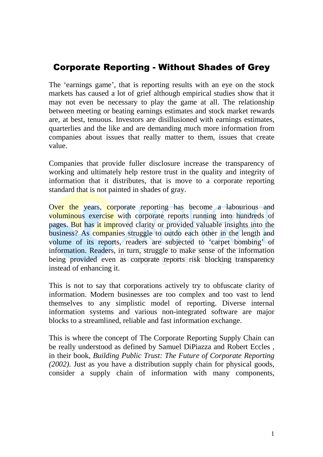# Corporate Reporting - Without Shades of Grey

The 'earnings game', that is reporting results with an eye on the stock markets has caused a lot of grief although empirical studies show that it may not even be necessary to play the game at all. The relationship between meeting or beating earnings estimates and stock market rewards are, at best, tenuous. Investors are disillusioned with earnings estimates, quarterlies and the like and are demanding much more information from companies about issues that really matter to them, issues that create value.

Companies that provide fuller disclosure increase the transparency of working and ultimately help restore trust in the quality and integrity of information that it distributes, that is move to a corporate reporting standard that is not painted in shades of gray.

Over the years, corporate reporting has become a labourious and voluminous exercise with corporate reports running into hundreds of pages. But has it improved clarity or provided valuable insights into the business? As companies struggle to outdo each other in the length and volume of its reports, readers are subjected to 'carpet bombing' of information. Readers, in turn, struggle to make sense of the information being provided even as corporate reports risk blocking transparency instead of enhancing it.

This is not to say that corporations actively try to obfuscate clarity of information. Modern businesses are too complex and too vast to lend themselves to any simplistic model of reporting. Diverse internal information systems and various non-integrated software are major blocks to a streamlined, reliable and fast information exchange.

This is where the concept of The Corporate Reporting Supply Chain can be really understood as defined by Samuel DiPiazza and Robert Eccles , in their book, *Building Public Trust: The Future of Corporate Reporting (2002).* Just as you have a distribution supply chain for physical goods, consider a supply chain of information with many components,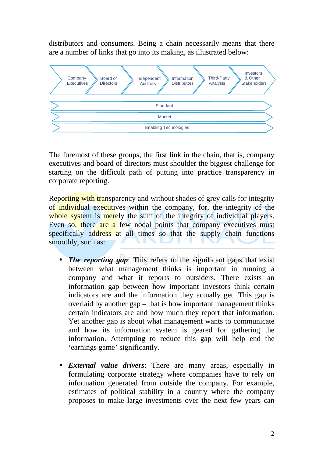distributors and consumers. Being a chain necessarily means that there are a number of links that go into its making, as illustrated below:



The foremost of these groups, the first link in the chain, that is, company executives and board of directors must shoulder the biggest challenge for starting on the difficult path of putting into practice transparency in corporate reporting.

Reporting with transparency and without shades of grey calls for integrity of individual executives within the company, for, the integrity of the whole system is merely the sum of the integrity of individual players. Even so, there are a few nodal points that company executives must specifically address at all times so that the supply chain functions smoothly, such as:

- *The reporting gap*: This refers to the significant gaps that exist between what management thinks is important in running a company and what it reports to outsiders. There exists an information gap between how important investors think certain indicators are and the information they actually get. This gap is overlaid by another gap – that is how important management thinks certain indicators are and how much they report that information. Yet another gap is about what management wants to communicate and how its information system is geared for gathering the information. Attempting to reduce this gap will help end the 'earnings game' significantly.
- *External value drivers*: There are many areas, especially in formulating corporate strategy where companies have to rely on information generated from outside the company. For example, estimates of political stability in a country where the company proposes to make large investments over the next few years can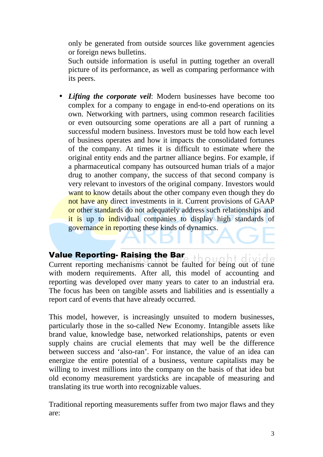only be generated from outside sources like government agencies or foreign news bulletins.

 Such outside information is useful in putting together an overall picture of its performance, as well as comparing performance with its peers.

• *Lifting the corporate veil*: Modern businesses have become too complex for a company to engage in end-to-end operations on its own. Networking with partners, using common research facilities or even outsourcing some operations are all a part of running a successful modern business. Investors must be told how each level of business operates and how it impacts the consolidated fortunes of the company. At times it is difficult to estimate where the original entity ends and the partner alliance begins. For example, if a pharmaceutical company has outsourced human trials of a major drug to another company, the success of that second company is very relevant to investors of the original company. Investors would want to know details about the other company even though they do not have any direct investments in it. Current provisions of GAAP or other standards do not adequately address such relationships and it is up to individual companies to display high standards of governance in reporting these kinds of dynamics.

## Value Reporting- Raising the Bar

**Value Reporting- Raising the Bar**<br>Current reporting mechanisms cannot be faulted for being out of tune with modern requirements. After all, this model of accounting and reporting was developed over many years to cater to an industrial era. The focus has been on tangible assets and liabilities and is essentially a report card of events that have already occurred.

This model, however, is increasingly unsuited to modern businesses, particularly those in the so-called New Economy. Intangible assets like brand value, knowledge base, networked relationships, patents or even supply chains are crucial elements that may well be the difference between success and 'also-ran'. For instance, the value of an idea can energize the entire potential of a business, venture capitalists may be willing to invest millions into the company on the basis of that idea but old economy measurement yardsticks are incapable of measuring and translating its true worth into recognizable values.

Traditional reporting measurements suffer from two major flaws and they are: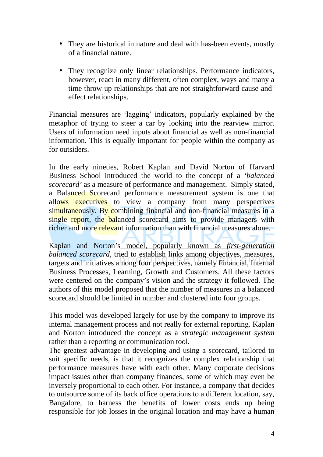- They are historical in nature and deal with has-been events, mostly of a financial nature.
- They recognize only linear relationships. Performance indicators, however, react in many different, often complex, ways and many a time throw up relationships that are not straightforward cause-andeffect relationships.

Financial measures are 'lagging' indicators, popularly explained by the metaphor of trying to steer a car by looking into the rearview mirror. Users of information need inputs about financial as well as non-financial information. This is equally important for people within the company as for outsiders.

In the early nineties, Robert Kaplan and David Norton of Harvard Business School introduced the world to the concept of a *'balanced scorecard'* as a measure of performance and management. Simply stated, a Balanced Scorecard performance measurement system is one that allows executives to view a company from many perspectives simultaneously. By combining financial and non-financial measures in a single report, the balanced scorecard aims to provide managers with richer and more relevant information than with financial measures alone.

Kaplan and Norton's model, popularly known as *first-generation balanced scorecard*, tried to establish links among objectives, measures, targets and initiatives among four perspectives, namely Financial, Internal Business Processes, Learning, Growth and Customers. All these factors were centered on the company's vision and the strategy it followed. The authors of this model proposed that the number of measures in a balanced scorecard should be limited in number and clustered into four groups.

This model was developed largely for use by the company to improve its internal management process and not really for external reporting. Kaplan and Norton introduced the concept as a *strategic management system* rather than a reporting or communication tool.

The greatest advantage in developing and using a scorecard, tailored to suit specific needs, is that it recognizes the complex relationship that performance measures have with each other. Many corporate decisions impact issues other than company finances, some of which may even be inversely proportional to each other. For instance, a company that decides to outsource some of its back office operations to a different location, say, Bangalore, to harness the benefits of lower costs ends up being responsible for job losses in the original location and may have a human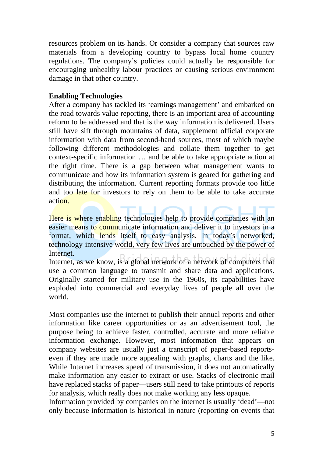resources problem on its hands. Or consider a company that sources raw materials from a developing country to bypass local home country regulations. The company's policies could actually be responsible for encouraging unhealthy labour practices or causing serious environment damage in that other country.

#### **Enabling Technologies**

After a company has tackled its 'earnings management' and embarked on the road towards value reporting, there is an important area of accounting reform to be addressed and that is the way information is delivered. Users still have sift through mountains of data, supplement official corporate information with data from second-hand sources, most of which maybe following different methodologies and collate them together to get context-specific information … and be able to take appropriate action at the right time. There is a gap between what management wants to communicate and how its information system is geared for gathering and distributing the information. Current reporting formats provide too little and too late for investors to rely on them to be able to take accurate action.

Here is where enabling technologies help to provide companies with an easier means to communicate information and deliver it to investors in a format, which lends itself to easy analysis. In today's networked, technology-intensive world, very few lives are untouched by the power of **Internet** Internet, as we know, is a global network of a network of computers that use a common language to transmit and share data and applications. Originally started for military use in the 1960s, its capabilities have exploded into commercial and everyday lives of people all over the world.

Most companies use the internet to publish their annual reports and other information like career opportunities or as an advertisement tool, the purpose being to achieve faster, controlled, accurate and more reliable information exchange. However, most information that appears on company websites are usually just a transcript of paper-based reportseven if they are made more appealing with graphs, charts and the like. While Internet increases speed of transmission, it does not automatically make information any easier to extract or use. Stacks of electronic mail have replaced stacks of paper—users still need to take printouts of reports for analysis, which really does not make working any less opaque.

Information provided by companies on the internet is usually 'dead'—not only because information is historical in nature (reporting on events that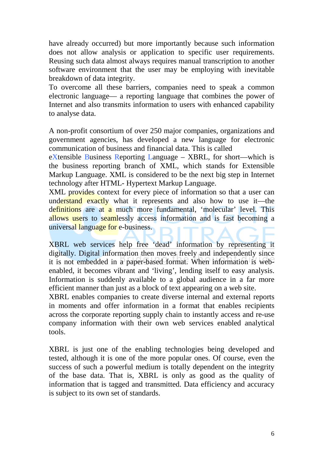have already occurred) but more importantly because such information does not allow analysis or application to specific user requirements. Reusing such data almost always requires manual transcription to another software environment that the user may be employing with inevitable breakdown of data integrity.

To overcome all these barriers, companies need to speak a common electronic language— a reporting language that combines the power of Internet and also transmits information to users with enhanced capability to analyse data.

A non-profit consortium of over 250 major companies, organizations and government agencies, has developed a new language for electronic communication of business and financial data. This is called

eXtensible Business Reporting Language – XBRL, for short—which is the business reporting branch of XML, which stands for Extensible Markup Language. XML is considered to be the next big step in Internet technology after HTML- Hypertext Markup Language.

XML provides context for every piece of information so that a user can understand exactly what it represents and also how to use it—the definitions are at a much more fundamental, 'molecular' level. This allows users to seamlessly access information and is fast becoming a universal language for e-business.

XBRL web services help free 'dead' information by representing it digitally. Digital information then moves freely and independently since it is not embedded in a paper-based format. When information is webenabled, it becomes vibrant and 'living', lending itself to easy analysis. Information is suddenly available to a global audience in a far more efficient manner than just as a block of text appearing on a web site.

XBRL enables companies to create diverse internal and external reports in moments and offer information in a format that enables recipients across the corporate reporting supply chain to instantly access and re-use company information with their own web services enabled analytical tools.

XBRL is just one of the enabling technologies being developed and tested, although it is one of the more popular ones. Of course, even the success of such a powerful medium is totally dependent on the integrity of the base data. That is, XBRL is only as good as the quality of information that is tagged and transmitted. Data efficiency and accuracy is subject to its own set of standards.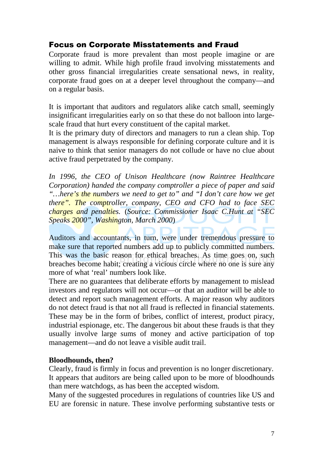# Focus on Corporate Misstatements and Fraud

Corporate fraud is more prevalent than most people imagine or are willing to admit. While high profile fraud involving misstatements and other gross financial irregularities create sensational news, in reality, corporate fraud goes on at a deeper level throughout the company—and on a regular basis.

It is important that auditors and regulators alike catch small, seemingly insignificant irregularities early on so that these do not balloon into largescale fraud that hurt every constituent of the capital market.

It is the primary duty of directors and managers to run a clean ship. Top management is always responsible for defining corporate culture and it is naive to think that senior managers do not collude or have no clue about active fraud perpetrated by the company.

*In 1996, the CEO of Unison Healthcare (now Raintree Healthcare Corporation) handed the company comptroller a piece of paper and said "…here's the numbers we need to get to" and "I don't care how we get there". The comptroller, company, CEO and CFO had to face SEC charges and penalties.* (*Source: Commissioner Isaac C.Hunt at "SEC Speaks 2000", Washington, March 2000*)

Auditors and accountants, in turn, were under tremendous pressure to make sure that reported numbers add up to publicly committed numbers. This was the basic reason for ethical breaches. As time goes on, such breaches become habit; creating a vicious circle where no one is sure any more of what 'real' numbers look like.

There are no guarantees that deliberate efforts by management to mislead investors and regulators will not occur—or that an auditor will be able to detect and report such management efforts. A major reason why auditors do not detect fraud is that not all fraud is reflected in financial statements. These may be in the form of bribes, conflict of interest, product piracy, industrial espionage, etc. The dangerous bit about these frauds is that they usually involve large sums of money and active participation of top management—and do not leave a visible audit trail.

#### **Bloodhounds, then?**

Clearly, fraud is firmly in focus and prevention is no longer discretionary. It appears that auditors are being called upon to be more of bloodhounds than mere watchdogs, as has been the accepted wisdom.

Many of the suggested procedures in regulations of countries like US and EU are forensic in nature. These involve performing substantive tests or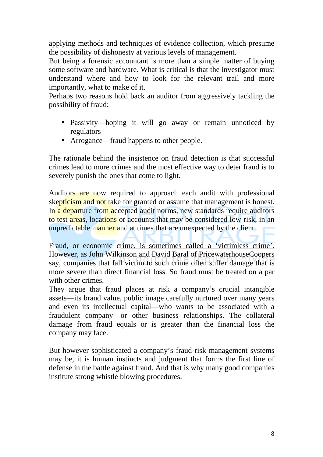applying methods and techniques of evidence collection, which presume the possibility of dishonesty at various levels of management.

But being a forensic accountant is more than a simple matter of buying some software and hardware. What is critical is that the investigator must understand where and how to look for the relevant trail and more importantly, what to make of it.

Perhaps two reasons hold back an auditor from aggressively tackling the possibility of fraud:

- Passivity—hoping it will go away or remain unnoticed by regulators
- Arrogance—fraud happens to other people.

The rationale behind the insistence on fraud detection is that successful crimes lead to more crimes and the most effective way to deter fraud is to severely punish the ones that come to light.

Auditors are now required to approach each audit with professional skepticism and not take for granted or assume that management is honest. In a departure from accepted audit norms, new standards require auditors to test areas, locations or accounts that may be considered low-risk, in an unpredictable manner and at times that are unexpected by the client.

Fraud, or economic crime, is sometimes called a 'victimless crime'. However, as John Wilkinson and David Baral of PricewaterhouseCoopers say, companies that fall victim to such crime often suffer damage that is more severe than direct financial loss. So fraud must be treated on a par with other crimes.

They argue that fraud places at risk a company's crucial intangible assets—its brand value, public image carefully nurtured over many years and even its intellectual capital—who wants to be associated with a fraudulent company—or other business relationships. The collateral damage from fraud equals or is greater than the financial loss the company may face.

But however sophisticated a company's fraud risk management systems may be, it is human instincts and judgment that forms the first line of defense in the battle against fraud. And that is why many good companies institute strong whistle blowing procedures.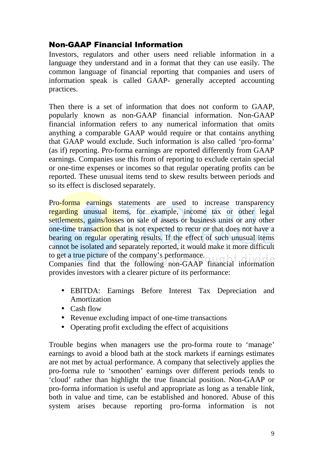# Non-GAAP Financial Information

Investors, regulators and other users need reliable information in a language they understand and in a format that they can use easily. The common language of financial reporting that companies and users of information speak is called GAAP- generally accepted accounting practices.

Then there is a set of information that does not conform to GAAP, popularly known as non-GAAP financial information. Non-GAAP financial information refers to any numerical information that omits anything a comparable GAAP would require or that contains anything that GAAP would exclude. Such information is also called 'pro-forma' (as if) reporting. Pro-forma earnings are reported differently from GAAP earnings. Companies use this from of reporting to exclude certain special or one-time expenses or incomes so that regular operating profits can be reported. These unusual items tend to skew results between periods and so its effect is disclosed separately.

Pro-forma earnings statements are used to increase transparency regarding unusual items, for example, income tax or other legal settlements, gains/losses on sale of assets or business units or any other one-time transaction that is not expected to recur or that does not have a bearing on regular operating results. If the effect of such unusual items cannot be isolated and separately reported, it would make it more difficult to get a true picture of the company's performance. Companies find that the following non-GAAP financial information provides investors with a clearer picture of its performance:

- EBITDA: Earnings Before Interest Tax Depreciation and Amortization
- Cash flow
- Revenue excluding impact of one-time transactions
- Operating profit excluding the effect of acquisitions

Trouble begins when managers use the pro-forma route to 'manage' earnings to avoid a blood bath at the stock markets if earnings estimates are not met by actual performance. A company that selectively applies the pro-forma rule to 'smoothen' earnings over different periods tends to 'cloud' rather than highlight the true financial position. Non-GAAP or pro-forma information is useful and appropriate as long as a tenable link, both in value and time, can be established and honored. Abuse of this system arises because reporting pro-forma information is not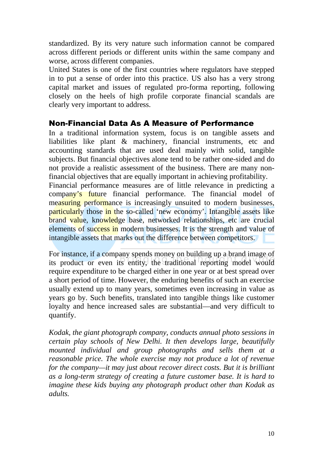standardized. By its very nature such information cannot be compared across different periods or different units within the same company and worse, across different companies.

United States is one of the first countries where regulators have stepped in to put a sense of order into this practice. US also has a very strong capital market and issues of regulated pro-forma reporting, following closely on the heels of high profile corporate financial scandals are clearly very important to address.

# Non-Financial Data As A Measure of Performance

In a traditional information system, focus is on tangible assets and liabilities like plant & machinery, financial instruments, etc and accounting standards that are used deal mainly with solid, tangible subjects. But financial objectives alone tend to be rather one-sided and do not provide a realistic assessment of the business. There are many nonfinancial objectives that are equally important in achieving profitability.

Financial performance measures are of little relevance in predicting a company's future financial performance. The financial model of measuring performance is increasingly unsuited to modern businesses, particularly those in the so-called 'new economy'. Intangible assets like brand value, knowledge base, networked relationships, etc are crucial elements of success in modern businesses. It is the strength and value of intangible assets that marks out the difference between competitors.

For instance, if a company spends money on building up a brand image of its product or even its entity, the traditional reporting model would require expenditure to be charged either in one year or at best spread over a short period of time. However, the enduring benefits of such an exercise usually extend up to many years, sometimes even increasing in value as years go by. Such benefits, translated into tangible things like customer loyalty and hence increased sales are substantial—and very difficult to quantify.

*Kodak, the giant photograph company, conducts annual photo sessions in certain play schools of New Delhi. It then develops large, beautifully mounted individual and group photographs and sells them at a reasonable price. The whole exercise may not produce a lot of revenue for the company—it may just about recover direct costs. But it is brilliant as a long-term strategy of creating a future customer base. It is hard to imagine these kids buying any photograph product other than Kodak as adults.*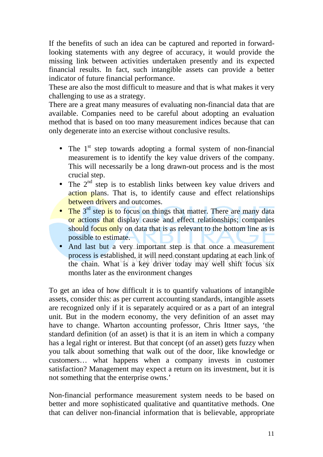If the benefits of such an idea can be captured and reported in forwardlooking statements with any degree of accuracy, it would provide the missing link between activities undertaken presently and its expected financial results. In fact, such intangible assets can provide a better indicator of future financial performance.

These are also the most difficult to measure and that is what makes it very challenging to use as a strategy.

There are a great many measures of evaluating non-financial data that are available. Companies need to be careful about adopting an evaluation method that is based on too many measurement indices because that can only degenerate into an exercise without conclusive results.

- The  $1<sup>st</sup>$  step towards adopting a formal system of non-financial measurement is to identify the key value drivers of the company. This will necessarily be a long drawn-out process and is the most crucial step.
- The  $2<sup>nd</sup>$  step is to establish links between key value drivers and action plans. That is, to identify cause and effect relationships between drivers and outcomes.
- The  $3<sup>rd</sup>$  step is to focus on things that matter. There are many data or actions that display cause and effect relationships; companies should focus only on data that is as relevant to the bottom line as is possible to estimate.
- And last but a very important step is that once a measurement process is established, it will need constant updating at each link of the chain. What is a key driver today may well shift focus six months later as the environment changes

To get an idea of how difficult it is to quantify valuations of intangible assets, consider this: as per current accounting standards, intangible assets are recognized only if it is separately acquired or as a part of an integral unit. But in the modern economy, the very definition of an asset may have to change. Wharton accounting professor, Chris Ittner says, 'the standard definition (of an asset) is that it is an item in which a company has a legal right or interest. But that concept (of an asset) gets fuzzy when you talk about something that walk out of the door, like knowledge or customers… what happens when a company invests in customer satisfaction? Management may expect a return on its investment, but it is not something that the enterprise owns.'

Non-financial performance measurement system needs to be based on better and more sophisticated qualitative and quantitative methods. One that can deliver non-financial information that is believable, appropriate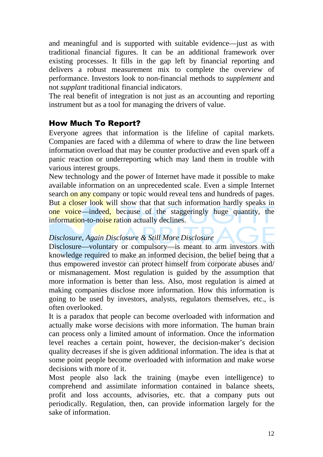and meaningful and is supported with suitable evidence—just as with traditional financial figures. It can be an additional framework over existing processes. It fills in the gap left by financial reporting and delivers a robust measurement mix to complete the overview of performance. Investors look to non-financial methods to *supplement* and not *supplant* traditional financial indicators.

The real benefit of integration is not just as an accounting and reporting instrument but as a tool for managing the drivers of value.

# How Much To Report?

Everyone agrees that information is the lifeline of capital markets. Companies are faced with a dilemma of where to draw the line between information overload that may be counter productive and even spark off a panic reaction or underreporting which may land them in trouble with various interest groups.

New technology and the power of Internet have made it possible to make available information on an unprecedented scale. Even a simple Internet search on any company or topic would reveal tens and hundreds of pages. But a closer look will show that that such information hardly speaks in one voice—indeed, because of the staggeringly huge quantity, the information-to-noise ration actually declines.

### *Disclosure, Again Disclosure & Still More Disclosure*

Disclosure—voluntary or compulsory—is meant to arm investors with knowledge required to make an informed decision, the belief being that a thus empowered investor can protect himself from corporate abuses and/ or mismanagement. Most regulation is guided by the assumption that more information is better than less. Also, most regulation is aimed at making companies disclose more information. How this information is going to be used by investors, analysts, regulators themselves, etc., is often overlooked.

It is a paradox that people can become overloaded with information and actually make worse decisions with more information. The human brain can process only a limited amount of information. Once the information level reaches a certain point, however, the decision-maker's decision quality decreases if she is given additional information. The idea is that at some point people become overloaded with information and make worse decisions with more of it.

Most people also lack the training (maybe even intelligence) to comprehend and assimilate information contained in balance sheets, profit and loss accounts, advisories, etc. that a company puts out periodically. Regulation, then, can provide information largely for the sake of information.